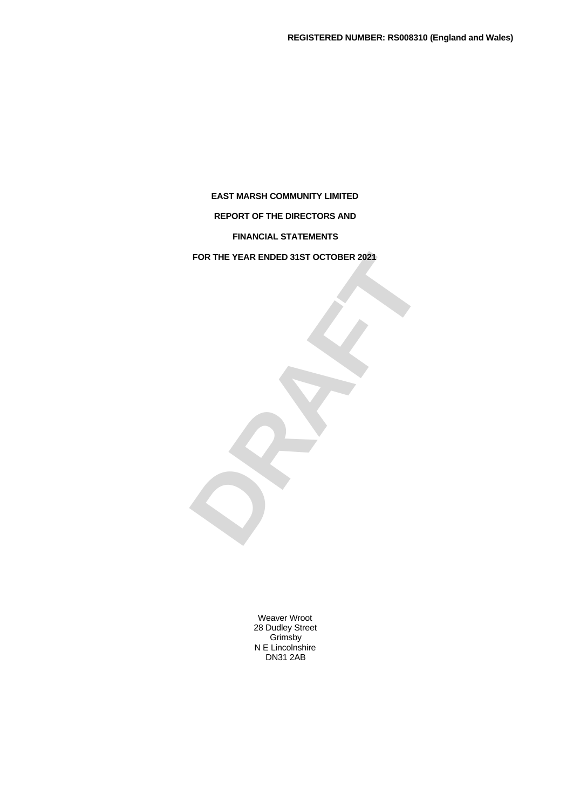# **REPORT OF THE DIRECTORS AND**

**FINANCIAL STATEMENTS**

FOR THE YEAR ENDED 31ST OCTOBER 2021<br> **DRAFTALE FOR THE YEAR ENDED 31ST OCTOBER 2021**

Weaver Wroot 28 Dudley Street Grimsby N E Lincolnshire DN31 2AB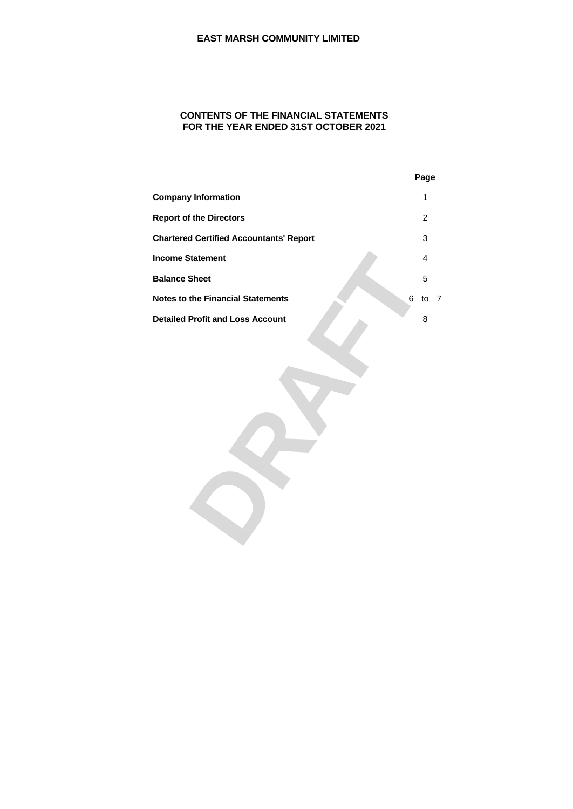# **CONTENTS OF THE FINANCIAL STATEMENTS FOR THE YEAR ENDED 31ST OCTOBER 2021**

|                                                | Page   |
|------------------------------------------------|--------|
| <b>Company Information</b>                     |        |
| <b>Report of the Directors</b>                 |        |
| <b>Chartered Certified Accountants' Report</b> |        |
| <b>Income Statement</b>                        |        |
| <b>Balance Sheet</b>                           |        |
| <b>Notes to the Financial Statements</b>       | 6 to 7 |
| <b>Detailed Profit and Loss Account</b>        |        |
|                                                |        |
|                                                |        |
|                                                |        |
|                                                |        |
|                                                |        |
|                                                |        |
|                                                |        |
|                                                |        |
|                                                |        |
|                                                |        |
|                                                |        |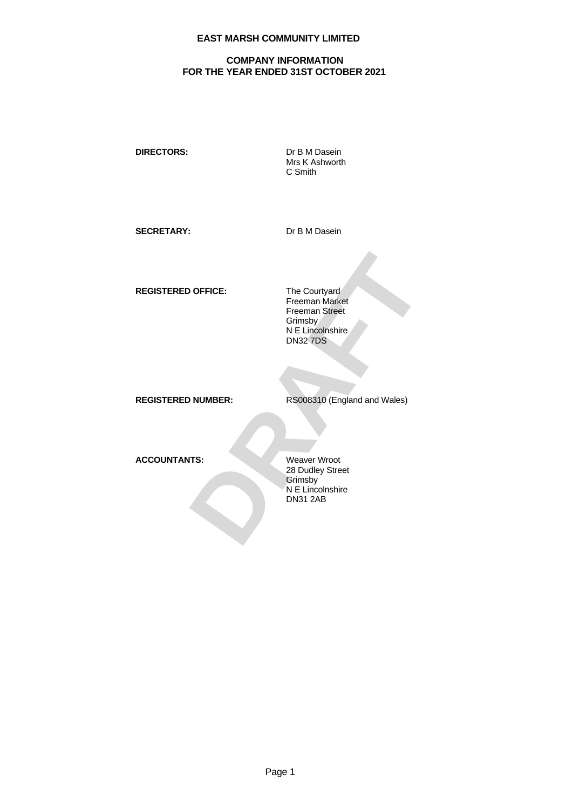# **COMPANY INFORMATION FOR THE YEAR ENDED 31ST OCTOBER 2021**

**DIRECTORS:** Dr B M Dasein

Mrs K Ashworth C Smith

SECRETARY: Dr B M Dasein

**REGISTERED OFFICE:** The Courtyard

**DRAFT<br>
DRAFT SCHOOLS SERVER SERVER SERVER SERVER SERVER SERVER SCHOOLS AND SCHOOLS SERVER SCHOOLS SERVER SCHOOLS SCHOOLS SERVER SCHOOLS SCHOOLS SCHOOLS SCHOOLS SCHOOLS SCHOOLS SCHOOLS SCHOOLS SCHOOLS SCHOOLS SCHOOLS SCHOO** Freeman Market Freeman Street **Grimsby** N E Lincolnshire DN32 7DS

**REGISTERED NUMBER:** RS008310 (England and Wales)

**ACCOUNTANTS:** Weaver Wroot

28 Dudley Street Grimsby N E Lincolnshire DN31 2AB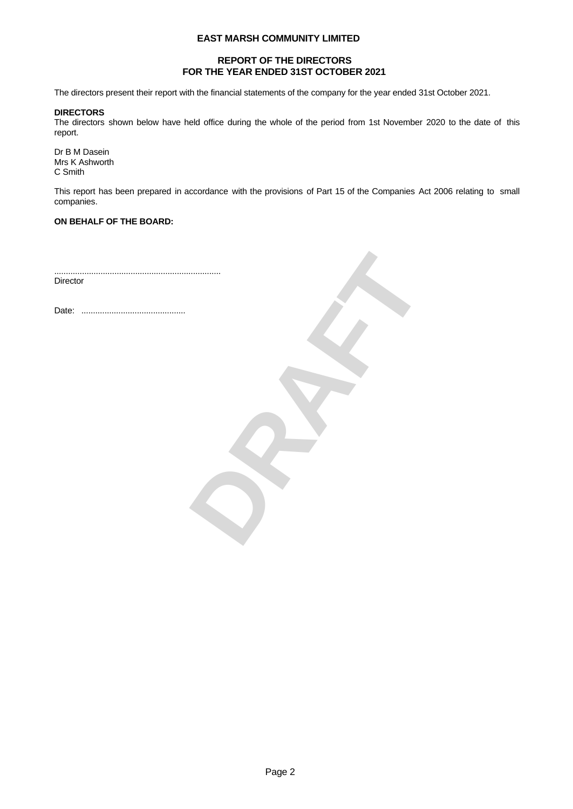# **REPORT OF THE DIRECTORS FOR THE YEAR ENDED 31ST OCTOBER 2021**

The directors present their report with the financial statements of the company for the year ended 31st October 2021.

#### **DIRECTORS**

The directors shown below have held office during the whole of the period from 1st November 2020 to the date of this report.

Dr B M Dasein Mrs K Ashworth C Smith

This report has been prepared in accordance with the provisions of Part 15 of the Companies Act 2006 relating to small companies.

### **ON BEHALF OF THE BOARD:**

........................................................................ **Director** 

Date: .............................................

**DRAFT**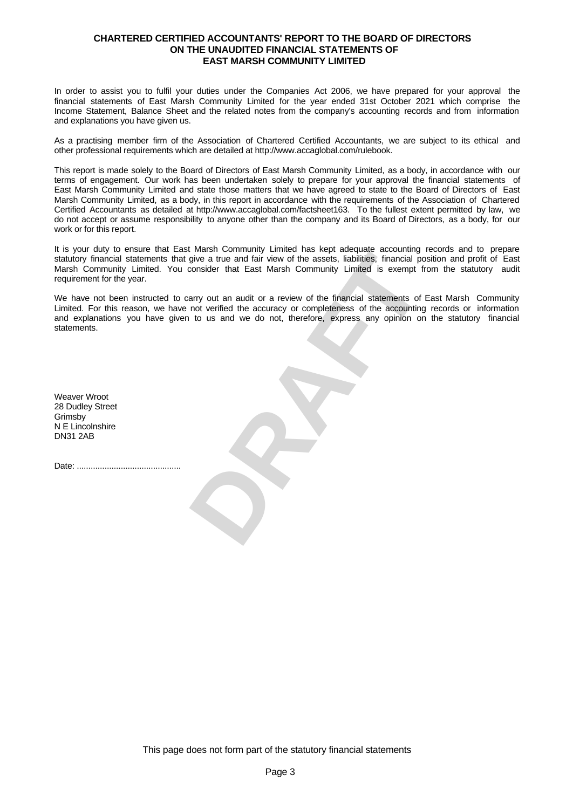### **CHARTERED CERTIFIED ACCOUNTANTS' REPORT TO THE BOARD OF DIRECTORS ON THE UNAUDITED FINANCIAL STATEMENTS OF EAST MARSH COMMUNITY LIMITED**

In order to assist you to fulfil your duties under the Companies Act 2006, we have prepared for your approval the financial statements of East Marsh Community Limited for the year ended 31st October 2021 which comprise the Income Statement, Balance Sheet and the related notes from the company's accounting records and from information and explanations you have given us.

As a practising member firm of the Association of Chartered Certified Accountants, we are subject to its ethical and other professional requirements which are detailed at http://www.accaglobal.com/rulebook.

This report is made solely to the Board of Directors of East Marsh Community Limited, as a body, in accordance with our terms of engagement. Our work has been undertaken solely to prepare for your approval the financial statements of East Marsh Community Limited and state those matters that we have agreed to state to the Board of Directors of East Marsh Community Limited, as a body, in this report in accordance with the requirements of the Association of Chartered Certified Accountants as detailed at http://www.accaglobal.com/factsheet163. To the fullest extent permitted by law, we do not accept or assume responsibility to anyone other than the company and its Board of Directors, as a body, for our work or for this report.

It is your duty to ensure that East Marsh Community Limited has kept adequate accounting records and to prepare statutory financial statements that give a true and fair view of the assets, liabilities, financial position and profit of East Marsh Community Limited. You consider that East Marsh Community Limited is exempt from the statutory audit requirement for the year.

was countinuity chinese has expressed accounting precisions and prior free at the and fair view of the assets, liabilities, financial position and profit of East consider that East Marsh Community Limited is exempt from th We have not been instructed to carry out an audit or a review of the financial statements of East Marsh Community Limited. For this reason, we have not verified the accuracy or completeness of the accounting records or information and explanations you have given to us and we do not, therefore, express any opinion on the statutory financial statements.

Weaver Wroot 28 Dudley Street Grimsby N E Lincolnshire DN31 2AB

Date: .............................................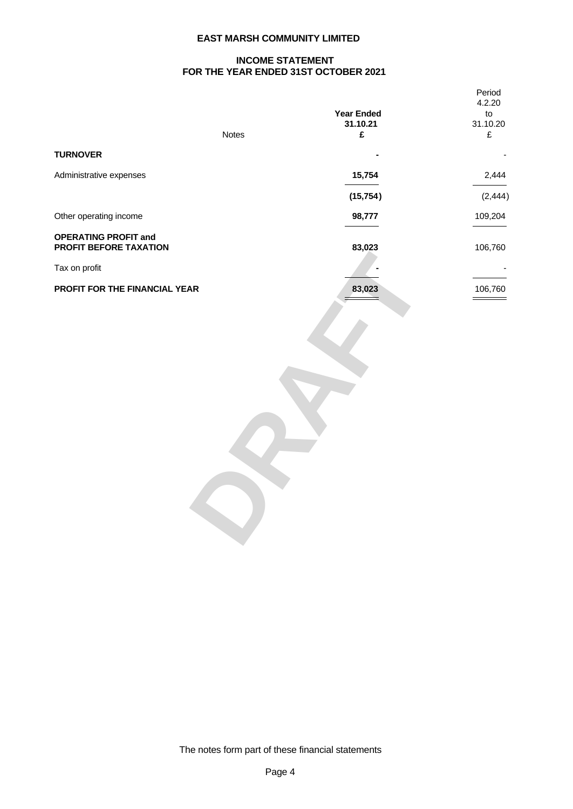# **INCOME STATEMENT FOR THE YEAR ENDED 31ST OCTOBER 2021**

|                                                       | <b>Notes</b> | <b>Year Ended<br/>31.10.21</b><br>£                                                                                                                                                                                                                                                                                                                                                                                                                                                  | Period<br>4.2.20<br>to<br>31.10.20<br>$\mathbf f$                                                                                                                                                                                                                                                                                                                                                                                                                                     |
|-------------------------------------------------------|--------------|--------------------------------------------------------------------------------------------------------------------------------------------------------------------------------------------------------------------------------------------------------------------------------------------------------------------------------------------------------------------------------------------------------------------------------------------------------------------------------------|---------------------------------------------------------------------------------------------------------------------------------------------------------------------------------------------------------------------------------------------------------------------------------------------------------------------------------------------------------------------------------------------------------------------------------------------------------------------------------------|
| <b>TURNOVER</b>                                       |              | $\sim$                                                                                                                                                                                                                                                                                                                                                                                                                                                                               | $\sim$ $ \sim$                                                                                                                                                                                                                                                                                                                                                                                                                                                                        |
| Administrative expenses                               |              | 15,754                                                                                                                                                                                                                                                                                                                                                                                                                                                                               | 2,444<br>$\frac{1}{2} \left( \frac{1}{2} \right) \left( \frac{1}{2} \right) \left( \frac{1}{2} \right) \left( \frac{1}{2} \right) \left( \frac{1}{2} \right) \left( \frac{1}{2} \right) \left( \frac{1}{2} \right) \left( \frac{1}{2} \right) \left( \frac{1}{2} \right) \left( \frac{1}{2} \right) \left( \frac{1}{2} \right) \left( \frac{1}{2} \right) \left( \frac{1}{2} \right) \left( \frac{1}{2} \right) \left( \frac{1}{2} \right) \left( \frac{1}{2} \right) \left( \frac$   |
|                                                       |              | (15, 754)                                                                                                                                                                                                                                                                                                                                                                                                                                                                            | (2, 444)                                                                                                                                                                                                                                                                                                                                                                                                                                                                              |
| Other operating income                                |              | 98,777<br>$\frac{1}{1} \left( \frac{1}{1} \right) \left( \frac{1}{1} \right) \left( \frac{1}{1} \right) \left( \frac{1}{1} \right) \left( \frac{1}{1} \right) \left( \frac{1}{1} \right) \left( \frac{1}{1} \right) \left( \frac{1}{1} \right) \left( \frac{1}{1} \right) \left( \frac{1}{1} \right) \left( \frac{1}{1} \right) \left( \frac{1}{1} \right) \left( \frac{1}{1} \right) \left( \frac{1}{1} \right) \left( \frac{1}{1} \right) \left( \frac{1}{1} \right) \left( \frac$ | 109,204<br>$\frac{1}{2} \left( \frac{1}{2} \right) \left( \frac{1}{2} \right) \left( \frac{1}{2} \right) \left( \frac{1}{2} \right) \left( \frac{1}{2} \right) \left( \frac{1}{2} \right) \left( \frac{1}{2} \right) \left( \frac{1}{2} \right) \left( \frac{1}{2} \right) \left( \frac{1}{2} \right) \left( \frac{1}{2} \right) \left( \frac{1}{2} \right) \left( \frac{1}{2} \right) \left( \frac{1}{2} \right) \left( \frac{1}{2} \right) \left( \frac{1}{2} \right) \left( \frac$ |
| <b>OPERATING PROFIT and</b><br>PROFIT BEFORE TAXATION |              | 83,023                                                                                                                                                                                                                                                                                                                                                                                                                                                                               | 106,760                                                                                                                                                                                                                                                                                                                                                                                                                                                                               |
| Tax on profit                                         |              | $\sim$                                                                                                                                                                                                                                                                                                                                                                                                                                                                               | <b>Contract Contract</b><br>and the control of the control of                                                                                                                                                                                                                                                                                                                                                                                                                         |
| PROFIT FOR THE FINANCIAL YEAR                         |              | 83,023                                                                                                                                                                                                                                                                                                                                                                                                                                                                               | 106,760<br>$\qquad \qquad =$                                                                                                                                                                                                                                                                                                                                                                                                                                                          |

The notes form part of these financial statements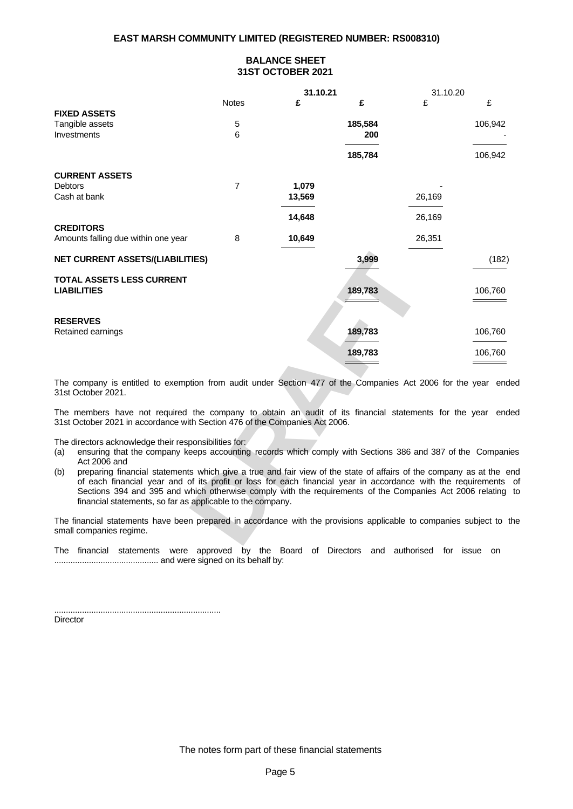# **BALANCE SHEET 31ST OCTOBER 2021**

|                                                                                                                                                                                            |       | 31.10.21                                   |                                                                                                                                                                                                                                                                                                                                         | 31.10.20                    |                                                                                                                                                                                                                                      |
|--------------------------------------------------------------------------------------------------------------------------------------------------------------------------------------------|-------|--------------------------------------------|-----------------------------------------------------------------------------------------------------------------------------------------------------------------------------------------------------------------------------------------------------------------------------------------------------------------------------------------|-----------------------------|--------------------------------------------------------------------------------------------------------------------------------------------------------------------------------------------------------------------------------------|
|                                                                                                                                                                                            | Notes |                                            |                                                                                                                                                                                                                                                                                                                                         | ₽                           |                                                                                                                                                                                                                                      |
| <b>FIXED ASSETS</b>                                                                                                                                                                        |       |                                            |                                                                                                                                                                                                                                                                                                                                         |                             |                                                                                                                                                                                                                                      |
| Tangible assets                                                                                                                                                                            |       |                                            | 185,584                                                                                                                                                                                                                                                                                                                                 |                             | 106,942                                                                                                                                                                                                                              |
| Investments                                                                                                                                                                                |       |                                            | 200<br><u> Liberature de la construcción de la construcción de la construcción de la construcción de la construcción de la construcción de la construcción de la construcción de la construcción de la construcción de la construcción </u>                                                                                             |                             | and the control of the control of                                                                                                                                                                                                    |
|                                                                                                                                                                                            |       |                                            | 185,784                                                                                                                                                                                                                                                                                                                                 |                             | 106,942                                                                                                                                                                                                                              |
|                                                                                                                                                                                            |       |                                            |                                                                                                                                                                                                                                                                                                                                         |                             |                                                                                                                                                                                                                                      |
| <b>CURRENT ASSETS</b>                                                                                                                                                                      |       |                                            |                                                                                                                                                                                                                                                                                                                                         |                             |                                                                                                                                                                                                                                      |
| Debtors                                                                                                                                                                                    |       | 1,079                                      |                                                                                                                                                                                                                                                                                                                                         | $\sim$                      |                                                                                                                                                                                                                                      |
| Cash at bank                                                                                                                                                                               |       | 13,569                                     |                                                                                                                                                                                                                                                                                                                                         | 26,169                      |                                                                                                                                                                                                                                      |
|                                                                                                                                                                                            |       | 14,648                                     |                                                                                                                                                                                                                                                                                                                                         | 26,169                      |                                                                                                                                                                                                                                      |
| <b>CREDITORS</b>                                                                                                                                                                           |       |                                            |                                                                                                                                                                                                                                                                                                                                         |                             |                                                                                                                                                                                                                                      |
| Amounts falling due within one year                                                                                                                                                        |       | 10,649                                     |                                                                                                                                                                                                                                                                                                                                         | 26,351                      |                                                                                                                                                                                                                                      |
|                                                                                                                                                                                            |       | <b>Contract Contract Contract Contract</b> |                                                                                                                                                                                                                                                                                                                                         | $\sim$ $\sim$ $\sim$ $\sim$ |                                                                                                                                                                                                                                      |
| <b>NET CURRENT ASSETS/(LIABILITIES)</b>                                                                                                                                                    |       |                                            | 3,999                                                                                                                                                                                                                                                                                                                                   |                             | (182)                                                                                                                                                                                                                                |
|                                                                                                                                                                                            |       |                                            |                                                                                                                                                                                                                                                                                                                                         |                             |                                                                                                                                                                                                                                      |
| <b>TOTAL ASSETS LESS CURRENT</b><br><b>LIABILITIES</b>                                                                                                                                     |       |                                            | 189,783                                                                                                                                                                                                                                                                                                                                 |                             | 106,760                                                                                                                                                                                                                              |
|                                                                                                                                                                                            |       |                                            | $\overline{\phantom{a}}$                                                                                                                                                                                                                                                                                                                |                             | $\equiv$ $\equiv$ $\equiv$                                                                                                                                                                                                           |
|                                                                                                                                                                                            |       |                                            |                                                                                                                                                                                                                                                                                                                                         |                             |                                                                                                                                                                                                                                      |
| <b>RESERVES</b>                                                                                                                                                                            |       |                                            |                                                                                                                                                                                                                                                                                                                                         |                             |                                                                                                                                                                                                                                      |
| Retained earnings                                                                                                                                                                          |       |                                            | 189,783                                                                                                                                                                                                                                                                                                                                 |                             | 106,760                                                                                                                                                                                                                              |
|                                                                                                                                                                                            |       |                                            |                                                                                                                                                                                                                                                                                                                                         |                             | <u> Albanys and Albanys and Albanys and Albanys and Albanys and Albanys and Albanys and Albanys and Albanys and Albanys and Albanys and Albanys and Albanys and Albanys and Albanys and Albanys and Albanys and Albanys and Alba</u> |
|                                                                                                                                                                                            |       |                                            | 189,783<br>$\hspace{1.5cm}$ $\hspace{1.5cm}$ $\hspace{1.5cm}$ $\hspace{1.5cm}$ $\hspace{1.5cm}$ $\hspace{1.5cm}$ $\hspace{1.5cm}$ $\hspace{1.5cm}$ $\hspace{1.5cm}$ $\hspace{1.5cm}$ $\hspace{1.5cm}$ $\hspace{1.5cm}$ $\hspace{1.5cm}$ $\hspace{1.5cm}$ $\hspace{1.5cm}$ $\hspace{1.5cm}$ $\hspace{1.5cm}$ $\hspace{1.5cm}$ $\hspace{$ |                             | 106,760                                                                                                                                                                                                                              |
|                                                                                                                                                                                            |       |                                            |                                                                                                                                                                                                                                                                                                                                         |                             |                                                                                                                                                                                                                                      |
| The company is entitled to exemption from audit under Section 477 of the Companies Act 2006 for the year ended                                                                             |       |                                            |                                                                                                                                                                                                                                                                                                                                         |                             |                                                                                                                                                                                                                                      |
| 31st October 2021.                                                                                                                                                                         |       |                                            |                                                                                                                                                                                                                                                                                                                                         |                             |                                                                                                                                                                                                                                      |
|                                                                                                                                                                                            |       |                                            |                                                                                                                                                                                                                                                                                                                                         |                             |                                                                                                                                                                                                                                      |
| The members have not required the company to obtain an audit of its financial statements for the year ended<br>31st October 2021 in accordance with Section 476 of the Companies Act 2006. |       |                                            |                                                                                                                                                                                                                                                                                                                                         |                             |                                                                                                                                                                                                                                      |
|                                                                                                                                                                                            |       |                                            |                                                                                                                                                                                                                                                                                                                                         |                             |                                                                                                                                                                                                                                      |
| The directors acknowledge their responsibilities for:                                                                                                                                      |       |                                            |                                                                                                                                                                                                                                                                                                                                         |                             |                                                                                                                                                                                                                                      |
| (a) ensuring that the company keeps accounting records which comply with Sections 386 and 387 of the Companies                                                                             |       |                                            |                                                                                                                                                                                                                                                                                                                                         |                             |                                                                                                                                                                                                                                      |
| Act 2006 and<br>(b) preparing financial statements which give a true and fair view of the state of affairs of the company as at the end                                                    |       |                                            |                                                                                                                                                                                                                                                                                                                                         |                             |                                                                                                                                                                                                                                      |
| of each financial year and of its profit or loss for each financial year in accordance with the requirements of                                                                            |       |                                            |                                                                                                                                                                                                                                                                                                                                         |                             |                                                                                                                                                                                                                                      |
| Sections 394 and 395 and which otherwise comply with the requirements of the Companies Act 2006 relating to                                                                                |       |                                            |                                                                                                                                                                                                                                                                                                                                         |                             |                                                                                                                                                                                                                                      |
| financial statements, so far as applicable to the company.                                                                                                                                 |       |                                            |                                                                                                                                                                                                                                                                                                                                         |                             |                                                                                                                                                                                                                                      |
|                                                                                                                                                                                            |       |                                            |                                                                                                                                                                                                                                                                                                                                         |                             |                                                                                                                                                                                                                                      |
| The financial statements have been prepared in accordance with the provisions applicable to companies subject to the<br>small companies regime.                                            |       |                                            |                                                                                                                                                                                                                                                                                                                                         |                             |                                                                                                                                                                                                                                      |
|                                                                                                                                                                                            |       |                                            |                                                                                                                                                                                                                                                                                                                                         |                             |                                                                                                                                                                                                                                      |

- (a) ensuring that the company keeps accounting records which comply with Sections 386 and 387 of the Companies Act 2006 and
- (b) preparing financial statements which give a true and fair view of the state of affairs of the company as at the end of each financial year and of its profit or loss for each financial year in accordance with the requirements of Sections 394 and 395 and which otherwise comply with the requirements of the Companies Act 2006 relating to financial statements, so far as applicable to the company.

The financial statements were approved by the Board of Directors and authorised for issue on ............................................. and were signed on its behalf by:

........................................................................ **Director**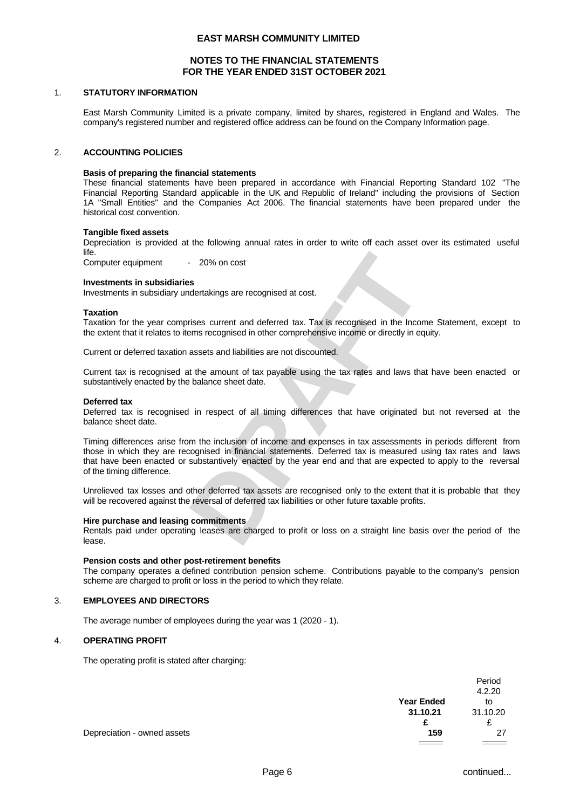# **NOTES TO THE FINANCIAL STATEMENTS FOR THE YEAR ENDED 31ST OCTOBER 2021**

#### 1. **STATUTORY INFORMATION**

East Marsh Community Limited is a private company, limited by shares, registered in England and Wales. The company's registered number and registered office address can be found on the Company Information page.

#### 2. **ACCOUNTING POLICIES**

#### **Basis of preparing the financial statements**

These financial statements have been prepared in accordance with Financial Reporting Standard 102 "The Financial Reporting Standard applicable in the UK and Republic of Ireland" including the provisions of Section 1A "Small Entities" and the Companies Act 2006. The financial statements have been prepared under the historical cost convention.

#### **Tangible fixed assets**

Depreciation is provided at the following annual rates in order to write off each asset over its estimated useful life.

Computer equipment - 20% on cost

#### **Investments in subsidiaries**

Investments in subsidiary undertakings are recognised at cost.

#### **Taxation**

Taxation for the year comprises current and deferred tax. Tax is recognised in the Income Statement, except to the extent that it relates to items recognised in other comprehensive income or directly in equity.

Current or deferred taxation assets and liabilities are not discounted.

Current tax is recognised at the amount of tax payable using the tax rates and laws that have been enacted or substantively enacted by the balance sheet date.

#### **Deferred tax**

Deferred tax is recognised in respect of all timing differences that have originated but not reversed at the balance sheet date.

- 20% on cost<br> **BS**<br>
Solentakings are recognised at cost.<br>
Inses current and deferred tax. Tax is recognised in the Income Statement, except to<br>
terms recognised in other comprehensive income or directly in equity.<br>
Insess Timing differences arise from the inclusion of income and expenses in tax assessments in periods different from those in which they are recognised in financial statements. Deferred tax is measured using tax rates and laws that have been enacted or substantively enacted by the year end and that are expected to apply to the reversal of the timing difference.

Unrelieved tax losses and other deferred tax assets are recognised only to the extent that it is probable that they will be recovered against the reversal of deferred tax liabilities or other future taxable profits.

#### **Hire purchase and leasing commitments**

Rentals paid under operating leases are charged to profit or loss on a straight line basis over the period of the lease.

#### **Pension costs and other post-retirement benefits**

The company operates a defined contribution pension scheme. Contributions payable to the company's pension scheme are charged to profit or loss in the period to which they relate.

#### 3. **EMPLOYEES AND DIRECTORS**

The average number of employees during the year was 1 (2020 - 1).

#### 4. **OPERATING PROFIT**

The operating profit is stated after charging:

|                             |                   | Period   |  |
|-----------------------------|-------------------|----------|--|
|                             |                   | 4.2.20   |  |
|                             | <b>Year Ended</b> | to       |  |
|                             | 31.10.21          | 31.10.20 |  |
|                             | c                 | ∼        |  |
| Depreciation - owned assets | 159               | 27       |  |
|                             |                   |          |  |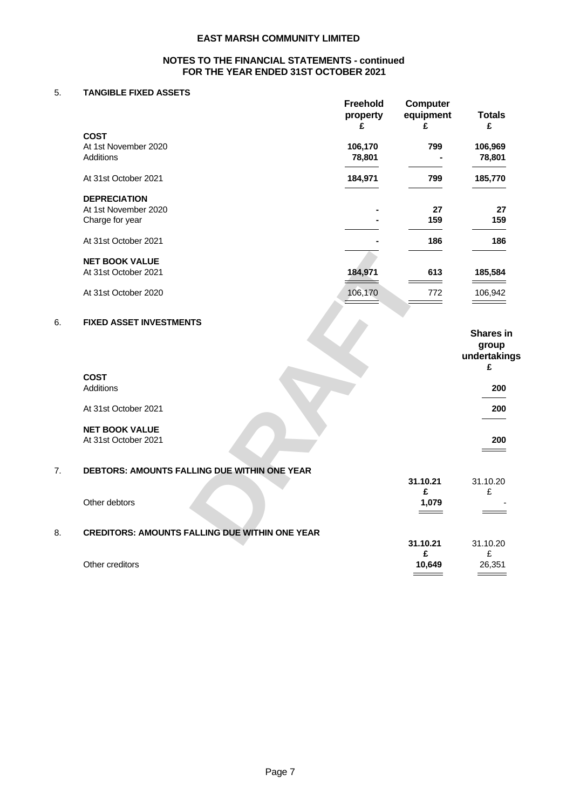# **NOTES TO THE FINANCIAL STATEMENTS - continued FOR THE YEAR ENDED 31ST OCTOBER 2021**

# 5. **TANGIBLE FIXED ASSETS**

|                                                       | <b>Freehold</b>                            | Computer                                   |                                                                                                                                                                                                                                                                                                                                                                                                                                                                            |
|-------------------------------------------------------|--------------------------------------------|--------------------------------------------|----------------------------------------------------------------------------------------------------------------------------------------------------------------------------------------------------------------------------------------------------------------------------------------------------------------------------------------------------------------------------------------------------------------------------------------------------------------------------|
|                                                       | property                                   | equipment                                  | <b>Totals</b>                                                                                                                                                                                                                                                                                                                                                                                                                                                              |
|                                                       |                                            | £                                          | E                                                                                                                                                                                                                                                                                                                                                                                                                                                                          |
| <b>COST</b>                                           |                                            |                                            |                                                                                                                                                                                                                                                                                                                                                                                                                                                                            |
| At 1st November 2020                                  | 106,170                                    | 799                                        | 106,969                                                                                                                                                                                                                                                                                                                                                                                                                                                                    |
| Additions                                             | 78,801                                     | $\sim$                                     | 78,801                                                                                                                                                                                                                                                                                                                                                                                                                                                                     |
|                                                       | <b>Contract Contract Contract Contract</b> | the contract of the contract of            | $\frac{1}{2} \left( \frac{1}{2} \right) \left( \frac{1}{2} \right) \left( \frac{1}{2} \right) \left( \frac{1}{2} \right) \left( \frac{1}{2} \right) \left( \frac{1}{2} \right) \left( \frac{1}{2} \right) \left( \frac{1}{2} \right) \left( \frac{1}{2} \right) \left( \frac{1}{2} \right) \left( \frac{1}{2} \right) \left( \frac{1}{2} \right) \left( \frac{1}{2} \right) \left( \frac{1}{2} \right) \left( \frac{1}{2} \right) \left( \frac{1}{2} \right) \left( \frac$ |
| At 31st October 2021                                  | 184,971                                    | 799                                        | 185,770                                                                                                                                                                                                                                                                                                                                                                                                                                                                    |
|                                                       | and the contract of the contract of        | <b>Contract Contract Contract</b>          | $\frac{1}{2} \left( \frac{1}{2} \right) \left( \frac{1}{2} \right) \left( \frac{1}{2} \right) \left( \frac{1}{2} \right) \left( \frac{1}{2} \right) \left( \frac{1}{2} \right) \left( \frac{1}{2} \right) \left( \frac{1}{2} \right) \left( \frac{1}{2} \right) \left( \frac{1}{2} \right) \left( \frac{1}{2} \right) \left( \frac{1}{2} \right) \left( \frac{1}{2} \right) \left( \frac{1}{2} \right) \left( \frac{1}{2} \right) \left( \frac{1}{2} \right) \left( \frac$ |
| <b>DEPRECIATION</b>                                   |                                            |                                            |                                                                                                                                                                                                                                                                                                                                                                                                                                                                            |
|                                                       |                                            |                                            |                                                                                                                                                                                                                                                                                                                                                                                                                                                                            |
| At 1st November 2020                                  |                                            | 27                                         | 27                                                                                                                                                                                                                                                                                                                                                                                                                                                                         |
| Charge for year                                       |                                            | 159                                        | 159                                                                                                                                                                                                                                                                                                                                                                                                                                                                        |
|                                                       |                                            | ____                                       | $\overbrace{\hspace{25mm}}$                                                                                                                                                                                                                                                                                                                                                                                                                                                |
| At 31st October 2021                                  |                                            | 186                                        | 186                                                                                                                                                                                                                                                                                                                                                                                                                                                                        |
|                                                       |                                            |                                            |                                                                                                                                                                                                                                                                                                                                                                                                                                                                            |
| <b>NET BOOK VALUE</b>                                 |                                            |                                            |                                                                                                                                                                                                                                                                                                                                                                                                                                                                            |
| At 31st October 2021                                  | 184,971                                    | 613                                        | 185,584                                                                                                                                                                                                                                                                                                                                                                                                                                                                    |
|                                                       |                                            | $\qquad \qquad \overbrace{\qquad \qquad }$ | $\qquad \qquad =$                                                                                                                                                                                                                                                                                                                                                                                                                                                          |
| At 31st October 2020                                  | 106,170                                    | 772                                        | 106,942                                                                                                                                                                                                                                                                                                                                                                                                                                                                    |
|                                                       | $\overline{\phantom{a}}$                   | $\hspace{.05cm} =$ $\hspace{.05cm}$        | $\qquad \qquad =\qquad \qquad$                                                                                                                                                                                                                                                                                                                                                                                                                                             |
|                                                       |                                            |                                            |                                                                                                                                                                                                                                                                                                                                                                                                                                                                            |
| <b>FIXED ASSET INVESTMENTS</b>                        |                                            |                                            |                                                                                                                                                                                                                                                                                                                                                                                                                                                                            |
|                                                       |                                            |                                            | Shares in                                                                                                                                                                                                                                                                                                                                                                                                                                                                  |
|                                                       |                                            |                                            |                                                                                                                                                                                                                                                                                                                                                                                                                                                                            |
|                                                       |                                            |                                            | group                                                                                                                                                                                                                                                                                                                                                                                                                                                                      |
|                                                       |                                            |                                            | undertakings                                                                                                                                                                                                                                                                                                                                                                                                                                                               |
|                                                       |                                            |                                            | £                                                                                                                                                                                                                                                                                                                                                                                                                                                                          |
| <b>COST</b>                                           |                                            |                                            |                                                                                                                                                                                                                                                                                                                                                                                                                                                                            |
| Additions                                             |                                            |                                            | 200                                                                                                                                                                                                                                                                                                                                                                                                                                                                        |
|                                                       |                                            |                                            | $\overbrace{\hspace{27mm}}^{}$                                                                                                                                                                                                                                                                                                                                                                                                                                             |
| At 31st October 2021                                  |                                            |                                            | 200                                                                                                                                                                                                                                                                                                                                                                                                                                                                        |
|                                                       |                                            |                                            | $\overline{\phantom{a}}$                                                                                                                                                                                                                                                                                                                                                                                                                                                   |
| <b>NET BOOK VALUE</b>                                 |                                            |                                            |                                                                                                                                                                                                                                                                                                                                                                                                                                                                            |
| At 31st October 2021                                  |                                            |                                            | 200                                                                                                                                                                                                                                                                                                                                                                                                                                                                        |
|                                                       |                                            |                                            | $\qquad \qquad =$                                                                                                                                                                                                                                                                                                                                                                                                                                                          |
|                                                       |                                            |                                            |                                                                                                                                                                                                                                                                                                                                                                                                                                                                            |
|                                                       |                                            |                                            |                                                                                                                                                                                                                                                                                                                                                                                                                                                                            |
| DEBTORS: AMOUNTS FALLING DUE WITHIN ONE YEAR          |                                            |                                            |                                                                                                                                                                                                                                                                                                                                                                                                                                                                            |
|                                                       |                                            | 31.10.21                                   | 31.10.20                                                                                                                                                                                                                                                                                                                                                                                                                                                                   |
|                                                       |                                            | £                                          | £                                                                                                                                                                                                                                                                                                                                                                                                                                                                          |
| Other debtors                                         |                                            | 1,079                                      | $\sim$ $ \sim$                                                                                                                                                                                                                                                                                                                                                                                                                                                             |
|                                                       |                                            | $\qquad \qquad =$                          | $\frac{1}{1}$                                                                                                                                                                                                                                                                                                                                                                                                                                                              |
|                                                       |                                            |                                            |                                                                                                                                                                                                                                                                                                                                                                                                                                                                            |
| <b>CREDITORS: AMOUNTS FALLING DUE WITHIN ONE YEAR</b> |                                            |                                            |                                                                                                                                                                                                                                                                                                                                                                                                                                                                            |
|                                                       |                                            | 31.10.21                                   | 31.10.20                                                                                                                                                                                                                                                                                                                                                                                                                                                                   |
|                                                       |                                            | £                                          | E                                                                                                                                                                                                                                                                                                                                                                                                                                                                          |
| Other creditors                                       |                                            | 10,649                                     | 26,351                                                                                                                                                                                                                                                                                                                                                                                                                                                                     |
|                                                       |                                            | $\equiv$ $\equiv$                          | $\overbrace{\hspace{25mm}}$                                                                                                                                                                                                                                                                                                                                                                                                                                                |